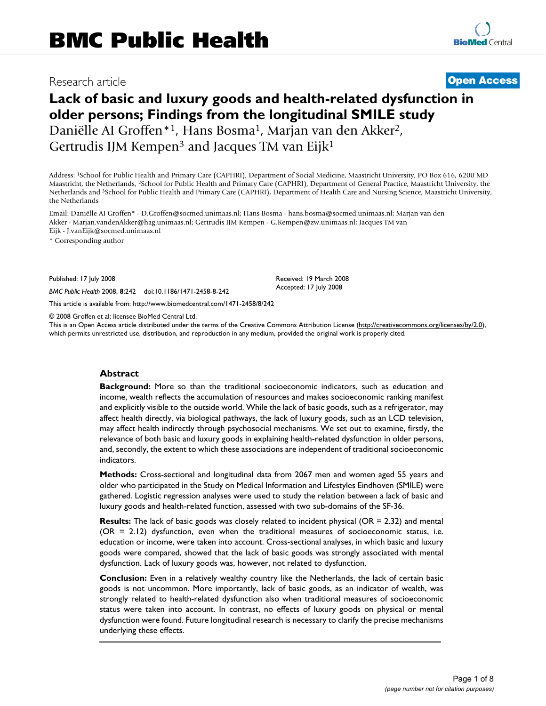# Research article **[Open Access](http://www.biomedcentral.com/info/about/charter/)**

# **Lack of basic and luxury goods and health-related dysfunction in older persons; Findings from the longitudinal SMILE study** Daniëlle AI Groffen<sup>\*1</sup>, Hans Bosma<sup>1</sup>, Marjan van den Akker<sup>2</sup>,

Gertrudis IJM Kempen<sup>3</sup> and Jacques TM van Eijk<sup>1</sup>

Address: 1School for Public Health and Primary Care (CAPHRI), Department of Social Medicine, Maastricht University, PO Box 616, 6200 MD Maastricht, the Netherlands, 2School for Public Health and Primary Care (CAPHRI), Department of General Practice, Maastricht University, the Netherlands and 3School for Public Health and Primary Care (CAPHRI), Department of Health Care and Nursing Science, Maastricht University, the Netherlands

Email: Daniëlle AI Groffen\* - D.Groffen@socmed.unimaas.nl; Hans Bosma - hans.bosma@socmed.unimaas.nl; Marjan van den Akker - Marjan.vandenAkker@hag.unimaas.nl; Gertrudis IJM Kempen - G.Kempen@zw.unimaas.nl; Jacques TM van Eijk - J.vanEijk@socmed.unimaas.nl

\* Corresponding author

Published: 17 July 2008

*BMC Public Health* 2008, **8**:242 doi:10.1186/1471-2458-8-242

[This article is available from: http://www.biomedcentral.com/1471-2458/8/242](http://www.biomedcentral.com/1471-2458/8/242)

© 2008 Groffen et al; licensee BioMed Central Ltd.

This is an Open Access article distributed under the terms of the Creative Commons Attribution License [\(http://creativecommons.org/licenses/by/2.0\)](http://creativecommons.org/licenses/by/2.0), which permits unrestricted use, distribution, and reproduction in any medium, provided the original work is properly cited.

Received: 19 March 2008 Accepted: 17 July 2008

#### **Abstract**

**Background:** More so than the traditional socioeconomic indicators, such as education and income, wealth reflects the accumulation of resources and makes socioeconomic ranking manifest and explicitly visible to the outside world. While the lack of basic goods, such as a refrigerator, may affect health directly, via biological pathways, the lack of luxury goods, such as an LCD television, may affect health indirectly through psychosocial mechanisms. We set out to examine, firstly, the relevance of both basic and luxury goods in explaining health-related dysfunction in older persons, and, secondly, the extent to which these associations are independent of traditional socioeconomic indicators.

**Methods:** Cross-sectional and longitudinal data from 2067 men and women aged 55 years and older who participated in the Study on Medical Information and Lifestyles Eindhoven (SMILE) were gathered. Logistic regression analyses were used to study the relation between a lack of basic and luxury goods and health-related function, assessed with two sub-domains of the SF-36.

**Results:** The lack of basic goods was closely related to incident physical (OR = 2.32) and mental (OR = 2.12) dysfunction, even when the traditional measures of socioeconomic status, i.e. education or income, were taken into account. Cross-sectional analyses, in which basic and luxury goods were compared, showed that the lack of basic goods was strongly associated with mental dysfunction. Lack of luxury goods was, however, not related to dysfunction.

**Conclusion:** Even in a relatively wealthy country like the Netherlands, the lack of certain basic goods is not uncommon. More importantly, lack of basic goods, as an indicator of wealth, was strongly related to health-related dysfunction also when traditional measures of socioeconomic status were taken into account. In contrast, no effects of luxury goods on physical or mental dysfunction were found. Future longitudinal research is necessary to clarify the precise mechanisms underlying these effects.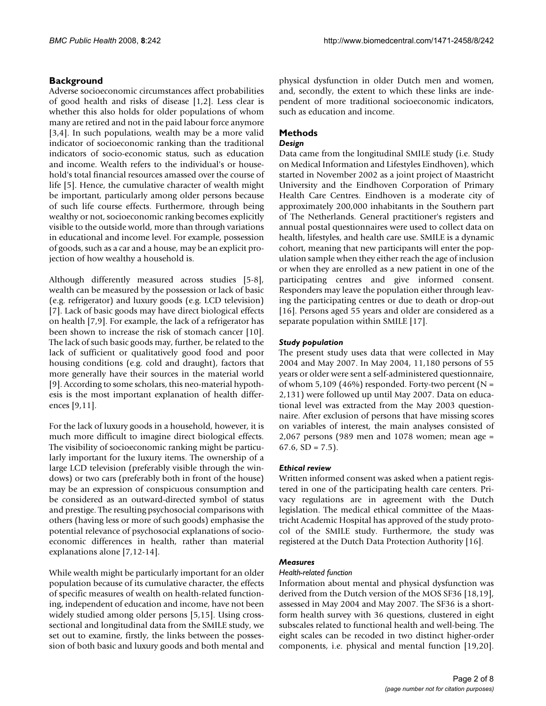# **Background**

Adverse socioeconomic circumstances affect probabilities of good health and risks of disease [1,2]. Less clear is whether this also holds for older populations of whom many are retired and not in the paid labour force anymore [3,4]. In such populations, wealth may be a more valid indicator of socioeconomic ranking than the traditional indicators of socio-economic status, such as education and income. Wealth refers to the individual's or household's total financial resources amassed over the course of life [5]. Hence, the cumulative character of wealth might be important, particularly among older persons because of such life course effects. Furthermore, through being wealthy or not, socioeconomic ranking becomes explicitly visible to the outside world, more than through variations in educational and income level. For example, possession of goods, such as a car and a house, may be an explicit projection of how wealthy a household is.

Although differently measured across studies [5-8], wealth can be measured by the possession or lack of basic (e.g. refrigerator) and luxury goods (e.g. LCD television) [7]. Lack of basic goods may have direct biological effects on health [7,9]. For example, the lack of a refrigerator has been shown to increase the risk of stomach cancer [10]. The lack of such basic goods may, further, be related to the lack of sufficient or qualitatively good food and poor housing conditions (e.g. cold and draught), factors that more generally have their sources in the material world [9]. According to some scholars, this neo-material hypothesis is the most important explanation of health differences [9,11].

For the lack of luxury goods in a household, however, it is much more difficult to imagine direct biological effects. The visibility of socioeconomic ranking might be particularly important for the luxury items. The ownership of a large LCD television (preferably visible through the windows) or two cars (preferably both in front of the house) may be an expression of conspicuous consumption and be considered as an outward-directed symbol of status and prestige. The resulting psychosocial comparisons with others (having less or more of such goods) emphasise the potential relevance of psychosocial explanations of socioeconomic differences in health, rather than material explanations alone [7,12-14].

While wealth might be particularly important for an older population because of its cumulative character, the effects of specific measures of wealth on health-related functioning, independent of education and income, have not been widely studied among older persons [5,15]. Using crosssectional and longitudinal data from the SMILE study, we set out to examine, firstly, the links between the possession of both basic and luxury goods and both mental and physical dysfunction in older Dutch men and women, and, secondly, the extent to which these links are independent of more traditional socioeconomic indicators, such as education and income.

# **Methods**

# *Design*

Data came from the longitudinal SMILE study (i.e. Study on Medical Information and Lifestyles Eindhoven), which started in November 2002 as a joint project of Maastricht University and the Eindhoven Corporation of Primary Health Care Centres. Eindhoven is a moderate city of approximately 200,000 inhabitants in the Southern part of The Netherlands. General practitioner's registers and annual postal questionnaires were used to collect data on health, lifestyles, and health care use. SMILE is a dynamic cohort, meaning that new participants will enter the population sample when they either reach the age of inclusion or when they are enrolled as a new patient in one of the participating centres and give informed consent. Responders may leave the population either through leaving the participating centres or due to death or drop-out [16]. Persons aged 55 years and older are considered as a separate population within SMILE [17].

# *Study population*

The present study uses data that were collected in May 2004 and May 2007. In May 2004, 11,180 persons of 55 years or older were sent a self-administered questionnaire, of whom 5,109 (46%) responded. Forty-two percent ( $N =$ 2,131) were followed up until May 2007. Data on educational level was extracted from the May 2003 questionnaire. After exclusion of persons that have missing scores on variables of interest, the main analyses consisted of 2,067 persons (989 men and 1078 women; mean age =  $67.6, SD = 7.5$ ).

## *Ethical review*

Written informed consent was asked when a patient registered in one of the participating health care centers. Privacy regulations are in agreement with the Dutch legislation. The medical ethical committee of the Maastricht Academic Hospital has approved of the study protocol of the SMILE study. Furthermore, the study was registered at the Dutch Data Protection Authority [16].

## *Measures*

## *Health-related function*

Information about mental and physical dysfunction was derived from the Dutch version of the MOS SF36 [18,19], assessed in May 2004 and May 2007. The SF36 is a shortform health survey with 36 questions, clustered in eight subscales related to functional health and well-being. The eight scales can be recoded in two distinct higher-order components, i.e. physical and mental function [19,20].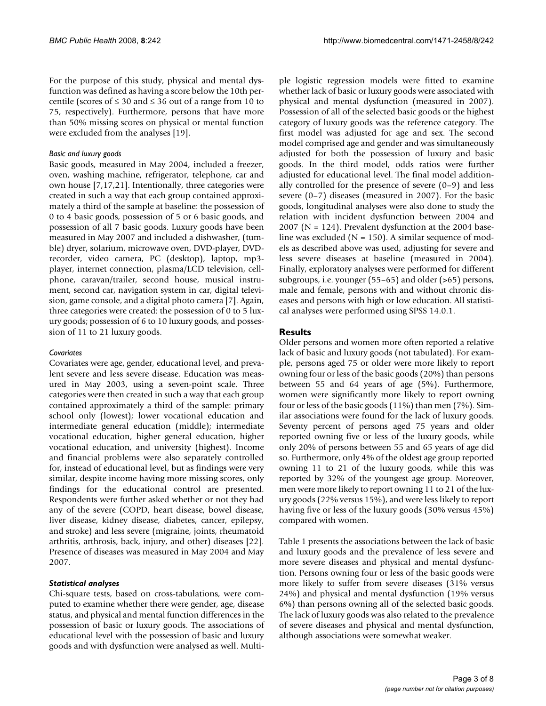For the purpose of this study, physical and mental dysfunction was defined as having a score below the 10th percentile (scores of  $\leq 30$  and  $\leq 36$  out of a range from 10 to 75, respectively). Furthermore, persons that have more than 50% missing scores on physical or mental function were excluded from the analyses [19].

#### *Basic and luxury goods*

Basic goods, measured in May 2004, included a freezer, oven, washing machine, refrigerator, telephone, car and own house [7,17,21]. Intentionally, three categories were created in such a way that each group contained approximately a third of the sample at baseline: the possession of 0 to 4 basic goods, possession of 5 or 6 basic goods, and possession of all 7 basic goods. Luxury goods have been measured in May 2007 and included a dishwasher, (tumble) dryer, solarium, microwave oven, DVD-player, DVDrecorder, video camera, PC (desktop), laptop, mp3 player, internet connection, plasma/LCD television, cellphone, caravan/trailer, second house, musical instrument, second car, navigation system in car, digital television, game console, and a digital photo camera [7]. Again, three categories were created: the possession of 0 to 5 luxury goods; possession of 6 to 10 luxury goods, and possession of 11 to 21 luxury goods.

## *Covariates*

Covariates were age, gender, educational level, and prevalent severe and less severe disease. Education was measured in May 2003, using a seven-point scale. Three categories were then created in such a way that each group contained approximately a third of the sample: primary school only (lowest); lower vocational education and intermediate general education (middle); intermediate vocational education, higher general education, higher vocational education, and university (highest). Income and financial problems were also separately controlled for, instead of educational level, but as findings were very similar, despite income having more missing scores, only findings for the educational control are presented. Respondents were further asked whether or not they had any of the severe (COPD, heart disease, bowel disease, liver disease, kidney disease, diabetes, cancer, epilepsy, and stroke) and less severe (migraine, joints, rheumatoid arthritis, arthrosis, back, injury, and other) diseases [22]. Presence of diseases was measured in May 2004 and May 2007.

## *Statistical analyses*

Chi-square tests, based on cross-tabulations, were computed to examine whether there were gender, age, disease status, and physical and mental function differences in the possession of basic or luxury goods. The associations of educational level with the possession of basic and luxury goods and with dysfunction were analysed as well. Multiple logistic regression models were fitted to examine whether lack of basic or luxury goods were associated with physical and mental dysfunction (measured in 2007). Possession of all of the selected basic goods or the highest category of luxury goods was the reference category. The first model was adjusted for age and sex. The second model comprised age and gender and was simultaneously adjusted for both the possession of luxury and basic goods. In the third model, odds ratios were further adjusted for educational level. The final model additionally controlled for the presence of severe (0–9) and less severe (0–7) diseases (measured in 2007). For the basic goods, longitudinal analyses were also done to study the relation with incident dysfunction between 2004 and 2007 ( $N = 124$ ). Prevalent dysfunction at the 2004 baseline was excluded ( $N = 150$ ). A similar sequence of models as described above was used, adjusting for severe and less severe diseases at baseline (measured in 2004). Finally, exploratory analyses were performed for different subgroups, i.e. younger (55–65) and older (>65) persons, male and female, persons with and without chronic diseases and persons with high or low education. All statistical analyses were performed using SPSS 14.0.1.

# **Results**

Older persons and women more often reported a relative lack of basic and luxury goods (not tabulated). For example, persons aged 75 or older were more likely to report owning four or less of the basic goods (20%) than persons between 55 and 64 years of age (5%). Furthermore, women were significantly more likely to report owning four or less of the basic goods (11%) than men (7%). Similar associations were found for the lack of luxury goods. Seventy percent of persons aged 75 years and older reported owning five or less of the luxury goods, while only 20% of persons between 55 and 65 years of age did so. Furthermore, only 4% of the oldest age group reported owning 11 to 21 of the luxury goods, while this was reported by 32% of the youngest age group. Moreover, men were more likely to report owning 11 to 21 of the luxury goods (22% versus 15%), and were less likely to report having five or less of the luxury goods (30% versus 45%) compared with women.

Table 1 presents the associations between the lack of basic and luxury goods and the prevalence of less severe and more severe diseases and physical and mental dysfunction. Persons owning four or less of the basic goods were more likely to suffer from severe diseases (31% versus 24%) and physical and mental dysfunction (19% versus 6%) than persons owning all of the selected basic goods. The lack of luxury goods was also related to the prevalence of severe diseases and physical and mental dysfunction, although associations were somewhat weaker.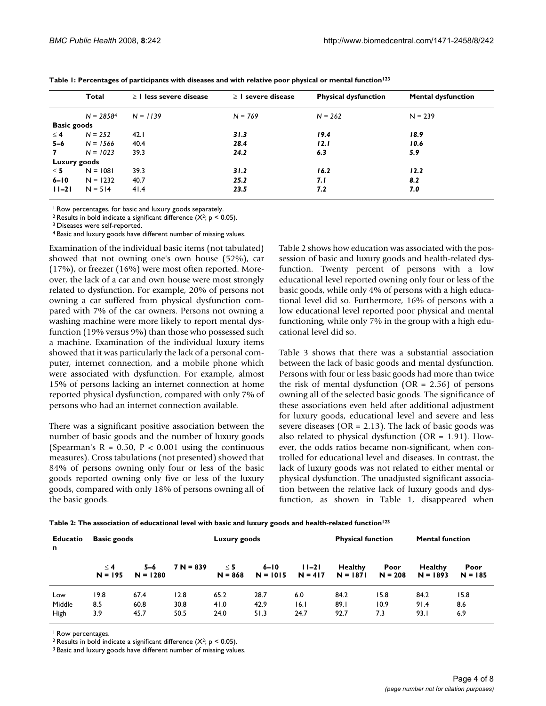|                    | Total        | $\geq$   less severe disease | $\geq$ I severe disease | <b>Physical dysfunction</b> | <b>Mental dysfunction</b> |
|--------------------|--------------|------------------------------|-------------------------|-----------------------------|---------------------------|
|                    | $N = 28584$  | $N = 1139$                   | $N = 769$               | $N = 262$                   | $N = 239$                 |
| <b>Basic goods</b> |              |                              |                         |                             |                           |
| $\leq 4$           | $N = 252$    | 42.1                         | 31.3                    | 19.4                        | 18.9                      |
| $5 - 6$            | $N = 1566$   | 40.4                         | 28.4                    | 12.1                        | 10.6                      |
|                    | $N = 1023$   | 39.3                         | 24.2                    | 6.3                         | 5.9                       |
|                    | Luxury goods |                              |                         |                             |                           |
| $\leq$ 5           | $N = 1081$   | 39.3                         | 31.2                    | 16.2                        | 12.2                      |
| $6 - 10$           | $N = 1232$   | 40.7                         | 25.2                    | 7.1                         | 8.2                       |
| $11 - 21$          | $N = 514$    | 41.4                         | 23.5                    | 7.2                         | 7.0                       |

**Table 1: Percentages of participants with diseases and with relative poor physical or mental function123**

1 Row percentages, for basic and luxury goods separately.

<sup>2</sup> Results in bold indicate a significant difference ( $X^2$ ; p < 0.05).

3 Diseases were self-reported.

4 Basic and luxury goods have different number of missing values.

Examination of the individual basic items (not tabulated) showed that not owning one's own house (52%), car (17%), or freezer (16%) were most often reported. Moreover, the lack of a car and own house were most strongly related to dysfunction. For example, 20% of persons not owning a car suffered from physical dysfunction compared with 7% of the car owners. Persons not owning a washing machine were more likely to report mental dysfunction (19% versus 9%) than those who possessed such a machine. Examination of the individual luxury items showed that it was particularly the lack of a personal computer, internet connection, and a mobile phone which were associated with dysfunction. For example, almost 15% of persons lacking an internet connection at home reported physical dysfunction, compared with only 7% of persons who had an internet connection available.

There was a significant positive association between the number of basic goods and the number of luxury goods (Spearman's  $R = 0.50$ ,  $P < 0.001$  using the continuous measures). Cross tabulations (not presented) showed that 84% of persons owning only four or less of the basic goods reported owning only five or less of the luxury goods, compared with only 18% of persons owning all of the basic goods.

Table 2 shows how education was associated with the possession of basic and luxury goods and health-related dysfunction. Twenty percent of persons with a low educational level reported owning only four or less of the basic goods, while only 4% of persons with a high educational level did so. Furthermore, 16% of persons with a low educational level reported poor physical and mental functioning, while only 7% in the group with a high educational level did so.

Table 3 shows that there was a substantial association between the lack of basic goods and mental dysfunction. Persons with four or less basic goods had more than twice the risk of mental dysfunction  $(OR = 2.56)$  of persons owning all of the selected basic goods. The significance of these associations even held after additional adjustment for luxury goods, educational level and severe and less severe diseases ( $OR = 2.13$ ). The lack of basic goods was also related to physical dysfunction ( $OR = 1.91$ ). However, the odds ratios became non-significant, when controlled for educational level and diseases. In contrast, the lack of luxury goods was not related to either mental or physical dysfunction. The unadjusted significant association between the relative lack of luxury goods and dysfunction, as shown in Table 1, disappeared when

**Table 2: The association of educational level with basic and luxury goods and health-related function123**

| Educatio<br>n | <b>Basic goods</b>    |                       | Luxury goods |                       |                        | <b>Physical function</b> |                              | <b>Mental function</b> |                              |                   |
|---------------|-----------------------|-----------------------|--------------|-----------------------|------------------------|--------------------------|------------------------------|------------------------|------------------------------|-------------------|
|               | $\leq 4$<br>$N = 195$ | $5 - 6$<br>$N = 1280$ | $7 N = 839$  | $\leq$ 5<br>$N = 868$ | $6 - 10$<br>$N = 1015$ | $11-21$<br>$N = 417$     | <b>Healthy</b><br>$N = 1871$ | Poor<br>$N = 208$      | <b>Healthy</b><br>$N = 1893$ | Poor<br>$N = 185$ |
| Low<br>Middle | 19.8<br>8.5           | 67.4                  | 12.8<br>30.8 | 65.2<br>41.0          | 28.7<br>42.9           | 6.0                      | 84.2                         | 15.8<br>10.9           | 84.2<br>91.4                 | 15.8              |
| High          | 3.9                   | 60.8<br>45.7          | 50.5         | 24.0                  | 51.3                   | 6.1<br>24.7              | 89.1<br>92.7                 | 7.3                    | 93.1                         | 8.6<br>6.9        |

1 Row percentages.

<sup>2</sup> Results in bold indicate a significant difference  $(X^2; p < 0.05)$ .

3 Basic and luxury goods have different number of missing values.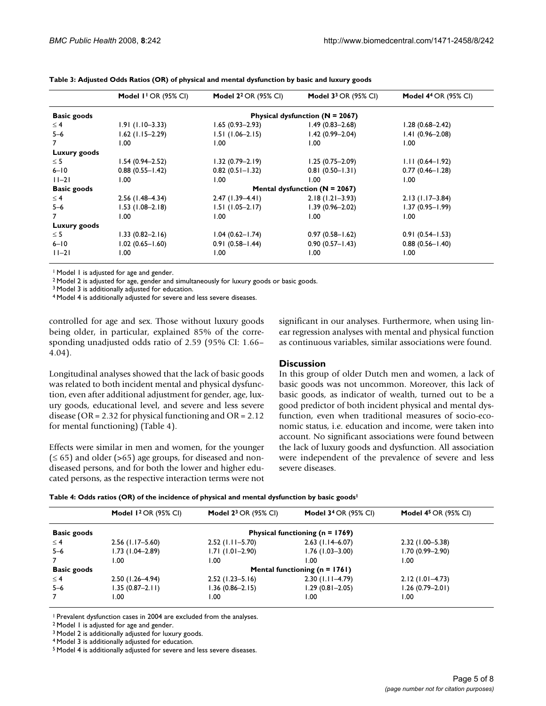|                    | Model $IT$ OR (95% CI) | <b>Model 22 OR (95% CI)</b> | <b>Model 33 OR (95% CI)</b>         | <b>Model 44 OR (95% CI)</b> |
|--------------------|------------------------|-----------------------------|-------------------------------------|-----------------------------|
| <b>Basic goods</b> |                        |                             | Physical dysfunction ( $N = 2067$ ) |                             |
| $\leq 4$           | $1.91(1.10-3.33)$      | $1.65(0.93 - 2.93)$         | $1.49(0.83 - 2.68)$                 | $1.28(0.68 - 2.42)$         |
| $5 - 6$            | $1.62$ (1.15-2.29)     | $1.51(1.06-2.15)$           | $1.42(0.99 - 2.04)$                 | $1.41(0.96 - 2.08)$         |
| 7                  | 1.00                   | 1.00                        | 1.00                                | 1.00                        |
| Luxury goods       |                        |                             |                                     |                             |
| $\leq$ 5           | $1.54(0.94 - 2.52)$    | $1.32(0.79 - 2.19)$         | $1.25(0.75-2.09)$                   | $1.11(0.64 - 1.92)$         |
| $6 - 10$           | $0.88(0.55 - 1.42)$    | $0.82(0.51 - 1.32)$         | $0.81(0.50 - 1.31)$                 | $0.77(0.46 - 1.28)$         |
| $11 - 21$          | 1.00                   | 1.00                        | 1.00                                | 1.00                        |
| <b>Basic goods</b> |                        |                             | Mental dysfunction $(N = 2067)$     |                             |
| $\leq 4$           | $2.56$ (1.48–4.34)     | $2.47(1.39 - 4.41)$         | $2.18(1.21 - 3.93)$                 | $2.13$ (1.17-3.84)          |
| $5 - 6$            | $1.53(1.08-2.18)$      | $1.51(1.05 - 2.17)$         | $1.39(0.96 - 2.02)$                 | $1.37(0.95 - 1.99)$         |
| $\overline{7}$     | 1.00                   | 1.00                        | 1.00                                | 1.00                        |
| Luxury goods       |                        |                             |                                     |                             |
| $\leq$ 5           | $1.33(0.82 - 2.16)$    | $1.04(0.62 - 1.74)$         | $0.97(0.58 - 1.62)$                 | $0.91(0.54 - 1.53)$         |
| $6 - 10$           | $1.02(0.65 - 1.60)$    | $0.91(0.58 - 1.44)$         | $0.90(0.57 - 1.43)$                 | $0.88(0.56 - 1.40)$         |
| $11 - 21$          | 1.00                   | 1.00                        | 1.00                                | 1.00                        |

**Table 3: Adjusted Odds Ratios (OR) of physical and mental dysfunction by basic and luxury goods**

1 Model 1 is adjusted for age and gender.

<sup>2</sup> Model 2 is adjusted for age, gender and simultaneously for luxury goods or basic goods.

<sup>3</sup> Model 3 is additionally adjusted for education.

4 Model 4 is additionally adjusted for severe and less severe diseases.

controlled for age and sex. Those without luxury goods being older, in particular, explained 85% of the corresponding unadjusted odds ratio of 2.59 (95% CI: 1.66– 4.04).

Longitudinal analyses showed that the lack of basic goods was related to both incident mental and physical dysfunction, even after additional adjustment for gender, age, luxury goods, educational level, and severe and less severe disease (OR = 2.32 for physical functioning and OR = 2.12 for mental functioning) (Table 4).

Effects were similar in men and women, for the younger  $( \leq 65)$  and older (>65) age groups, for diseased and nondiseased persons, and for both the lower and higher educated persons, as the respective interaction terms were not significant in our analyses. Furthermore, when using linear regression analyses with mental and physical function as continuous variables, similar associations were found.

#### **Discussion**

In this group of older Dutch men and women, a lack of basic goods was not uncommon. Moreover, this lack of basic goods, as indicator of wealth, turned out to be a good predictor of both incident physical and mental dysfunction, even when traditional measures of socio-economic status, i.e. education and income, were taken into account. No significant associations were found between the lack of luxury goods and dysfunction. All association were independent of the prevalence of severe and less severe diseases.

**Table 4: Odds ratios (OR) of the incidence of physical and mental dysfunction by basic goods1**

|                    | Model $12$ OR (95% CI) | <b>Model 23 OR (95% CI)</b> | <b>Model 3<sup>4</sup> OR (95% CI)</b> | <b>Model 4<sup>5</sup> OR (95% CI)</b> |
|--------------------|------------------------|-----------------------------|----------------------------------------|----------------------------------------|
| <b>Basic goods</b> |                        |                             | Physical functioning ( $n = 1769$ )    |                                        |
| $\leq 4$           | $2.56$ (1.17-5.60)     | $2.52$ (1.11-5.70)          | $2.63$ (1.14–6.07)                     | $2.32(1.00 - 5.38)$                    |
| $5 - 6$            | $1.73$ (1.04-2.89)     | 1.71 (1.01–2.90)            | $1.76(1.03 - 3.00)$                    | $1.70(0.99 - 2.90)$                    |
| 7                  | 1.00                   | 1.00                        | 1.00                                   | 1.00                                   |
| <b>Basic goods</b> |                        |                             | Mental functioning $(n = 1761)$        |                                        |
| $\leq 4$           | $2.50(1.26 - 4.94)$    | $2.52(1.23 - 5.16)$         | $2.30$ (1.11–4.79)                     | $2.12(1.01 - 4.73)$                    |
| $5 - 6$            | $1.35(0.87-2.11)$      | 1.36 (0.86-2.15)            | $1.29(0.81 - 2.05)$                    | $1.26(0.79 - 2.01)$                    |
| 7                  | 1.00                   | 00. ا                       | 1.00                                   | 1.00                                   |

<sup>1</sup> Prevalent dysfunction cases in 2004 are excluded from the analyses.

2 Model 1 is adjusted for age and gender.

3 Model 2 is additionally adjusted for luxury goods.

4 Model 3 is additionally adjusted for education.

5 Model 4 is additionally adjusted for severe and less severe diseases.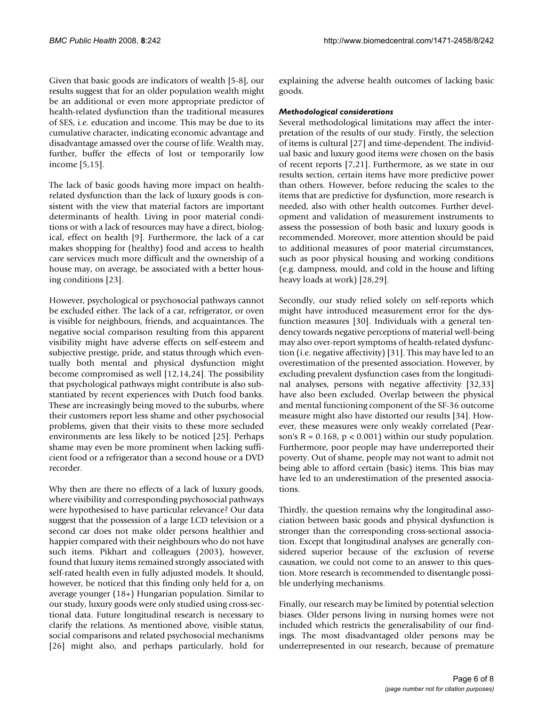Given that basic goods are indicators of wealth [5-8], our results suggest that for an older population wealth might be an additional or even more appropriate predictor of health-related dysfunction than the traditional measures of SES, i.e. education and income. This may be due to its cumulative character, indicating economic advantage and disadvantage amassed over the course of life. Wealth may, further, buffer the effects of lost or temporarily low income [5,15].

The lack of basic goods having more impact on healthrelated dysfunction than the lack of luxury goods is consistent with the view that material factors are important determinants of health. Living in poor material conditions or with a lack of resources may have a direct, biological, effect on health [9]. Furthermore, the lack of a car makes shopping for (healthy) food and access to health care services much more difficult and the ownership of a house may, on average, be associated with a better housing conditions [23].

However, psychological or psychosocial pathways cannot be excluded either. The lack of a car, refrigerator, or oven is visible for neighbours, friends, and acquaintances. The negative social comparison resulting from this apparent visibility might have adverse effects on self-esteem and subjective prestige, pride, and status through which eventually both mental and physical dysfunction might become compromised as well [12,14,24]. The possibility that psychological pathways might contribute is also substantiated by recent experiences with Dutch food banks. These are increasingly being moved to the suburbs, where their customers report less shame and other psychosocial problems, given that their visits to these more secluded environments are less likely to be noticed [25]. Perhaps shame may even be more prominent when lacking sufficient food or a refrigerator than a second house or a DVD recorder.

Why then are there no effects of a lack of luxury goods, where visibility and corresponding psychosocial pathways were hypothesised to have particular relevance? Our data suggest that the possession of a large LCD television or a second car does not make older persons healthier and happier compared with their neighbours who do not have such items. Pikhart and colleagues (2003), however, found that luxury items remained strongly associated with self-rated health even in fully adjusted models. It should, however, be noticed that this finding only held for a, on average younger (18+) Hungarian population. Similar to our study, luxury goods were only studied using cross-sectional data. Future longitudinal research is necessary to clarify the relations. As mentioned above, visible status, social comparisons and related psychosocial mechanisms [26] might also, and perhaps particularly, hold for

explaining the adverse health outcomes of lacking basic goods.

#### *Methodological considerations*

Several methodological limitations may affect the interpretation of the results of our study. Firstly, the selection of items is cultural [27] and time-dependent. The individual basic and luxury good items were chosen on the basis of recent reports [7,21]. Furthermore, as we state in our results section, certain items have more predictive power than others. However, before reducing the scales to the items that are predictive for dysfunction, more research is needed, also with other health outcomes. Further development and validation of measurement instruments to assess the possession of both basic and luxury goods is recommended. Moreover, more attention should be paid to additional measures of poor material circumstances, such as poor physical housing and working conditions (e.g. dampness, mould, and cold in the house and lifting heavy loads at work) [28,29].

Secondly, our study relied solely on self-reports which might have introduced measurement error for the dysfunction measures [30]. Individuals with a general tendency towards negative perceptions of material well-being may also over-report symptoms of health-related dysfunction (i.e. negative affectivity) [31]. This may have led to an overestimation of the presented association. However, by excluding prevalent dysfunction cases from the longitudinal analyses, persons with negative affectivity [32,33] have also been excluded. Overlap between the physical and mental functioning component of the SF-36 outcome measure might also have distorted our results [34]. However, these measures were only weakly correlated (Pearson's  $R = 0.168$ ,  $p < 0.001$ ) within our study population. Furthermore, poor people may have underreported their poverty. Out of shame, people may not want to admit not being able to afford certain (basic) items. This bias may have led to an underestimation of the presented associations.

Thirdly, the question remains why the longitudinal association between basic goods and physical dysfunction is stronger than the corresponding cross-sectional association. Except that longitudinal analyses are generally considered superior because of the exclusion of reverse causation, we could not come to an answer to this question. More research is recommended to disentangle possible underlying mechanisms.

Finally, our research may be limited by potential selection biases. Older persons living in nursing homes were not included which restricts the generalisability of our findings. The most disadvantaged older persons may be underrepresented in our research, because of premature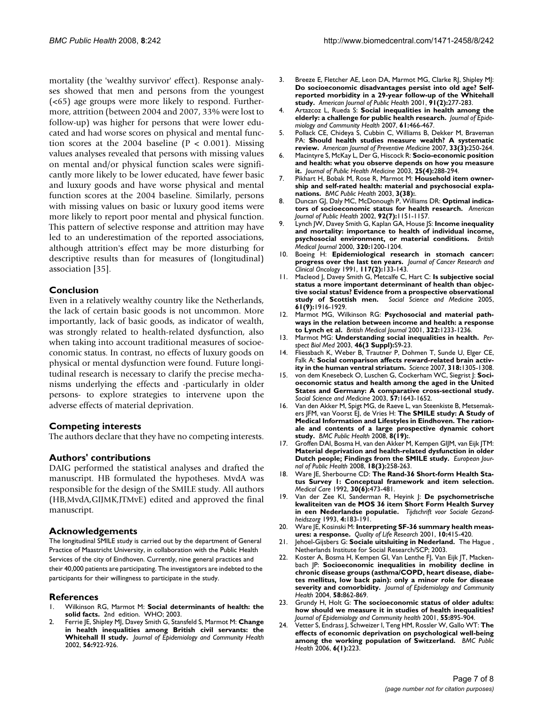mortality (the 'wealthy survivor' effect). Response analyses showed that men and persons from the youngest (<65) age groups were more likely to respond. Furthermore, attrition (between 2004 and 2007, 33% were lost to follow-up) was higher for persons that were lower educated and had worse scores on physical and mental function scores at the 2004 baseline ( $P < 0.001$ ). Missing values analyses revealed that persons with missing values on mental and/or physical function scales were significantly more likely to be lower educated, have fewer basic and luxury goods and have worse physical and mental function scores at the 2004 baseline. Similarly, persons with missing values on basic or luxury good items were more likely to report poor mental and physical function. This pattern of selective response and attrition may have led to an underestimation of the reported associations, although attrition's effect may be more disturbing for descriptive results than for measures of (longitudinal) association [35].

## **Conclusion**

Even in a relatively wealthy country like the Netherlands, the lack of certain basic goods is not uncommon. More importantly, lack of basic goods, as indicator of wealth, was strongly related to health-related dysfunction, also when taking into account traditional measures of socioeconomic status. In contrast, no effects of luxury goods on physical or mental dysfunction were found. Future longitudinal research is necessary to clarify the precise mechanisms underlying the effects and -particularly in older persons- to explore strategies to intervene upon the adverse effects of material deprivation.

## **Competing interests**

The authors declare that they have no competing interests.

## **Authors' contributions**

DAIG performed the statistical analyses and drafted the manuscript. HB formulated the hypotheses. MvdA was responsible for the design of the SMILE study. All authors (HB,MvdA,GIJMK,JTMvE) edited and approved the final manuscript.

#### **Acknowledgements**

The longitudinal SMILE study is carried out by the department of General Practice of Maastricht University, in collaboration with the Public Health Services of the city of Eindhoven. Currently, nine general practices and their 40,000 patients are participating. The investigators are indebted to the participants for their willingness to participate in the study.

#### **References**

- 1. Wilkinson RG, Marmot M: **Social determinants of health: the solid facts.** 2nd edition. WHO; 2003.
- 2. Ferrie JE, Shipley MJ, Davey Smith G, Stansfeld S, Marmot M: **Change in health inequalities among British civil servants: the Whitehall II study.** *Journal of Epidemiology and Community Health* 2002, **56:**922-926.
- 3. Breeze E, Fletcher AE, Leon DA, Marmot MG, Clarke RJ, Shipley MJ: **[Do socioeconomic disadvantages persist into old age? Self](http://www.ncbi.nlm.nih.gov/entrez/query.fcgi?cmd=Retrieve&db=PubMed&dopt=Abstract&list_uids=11211638)reported morbidity in a 29-year follow-up of the Whitehall [study.](http://www.ncbi.nlm.nih.gov/entrez/query.fcgi?cmd=Retrieve&db=PubMed&dopt=Abstract&list_uids=11211638)** *American Journal of Public Health* 2001, **91(2):**277-283.
- 4. Artazcoz L, Rueda S: **Social inequalities in health among the elderly: a challenge for public health research.** *Journal of Epidemiology and Community Health* 2007, **61:**466-467.
- Pollack CE, Chideya S, Cubbin C, Williams B, Dekker M, Braveman PA: **[Should health studies measure wealth? A systematic](http://www.ncbi.nlm.nih.gov/entrez/query.fcgi?cmd=Retrieve&db=PubMed&dopt=Abstract&list_uids=17826585) [review.](http://www.ncbi.nlm.nih.gov/entrez/query.fcgi?cmd=Retrieve&db=PubMed&dopt=Abstract&list_uids=17826585)** *American Journal of Preventive Medicine* 2007, **33(3):**250-264.
- 6. Macintyre S, McKay L, Der G, Hiscock R: **[Socio-economic position](http://www.ncbi.nlm.nih.gov/entrez/query.fcgi?cmd=Retrieve&db=PubMed&dopt=Abstract&list_uids=14747587) [and health: what you observe depends on how you measure](http://www.ncbi.nlm.nih.gov/entrez/query.fcgi?cmd=Retrieve&db=PubMed&dopt=Abstract&list_uids=14747587) [it.](http://www.ncbi.nlm.nih.gov/entrez/query.fcgi?cmd=Retrieve&db=PubMed&dopt=Abstract&list_uids=14747587)** *Journal of Public Health Medicine* 2003, **25(4):**288-294.
- 7. Pikhart H, Bobak M, Rose R, Marmot M: **[Household item owner](http://www.ncbi.nlm.nih.gov/entrez/query.fcgi?cmd=Retrieve&db=PubMed&dopt=Abstract&list_uids=14641929)[ship and self-rated health: material and psychosocial expla](http://www.ncbi.nlm.nih.gov/entrez/query.fcgi?cmd=Retrieve&db=PubMed&dopt=Abstract&list_uids=14641929)[nations.](http://www.ncbi.nlm.nih.gov/entrez/query.fcgi?cmd=Retrieve&db=PubMed&dopt=Abstract&list_uids=14641929)** *BMC Public Health* 2003, **3(38):**.
- 8. Duncan GJ, Daly MC, McDonough P, Williams DR: **[Optimal indica](http://www.ncbi.nlm.nih.gov/entrez/query.fcgi?cmd=Retrieve&db=PubMed&dopt=Abstract&list_uids=12084700)[tors of socioeconomic status for health research.](http://www.ncbi.nlm.nih.gov/entrez/query.fcgi?cmd=Retrieve&db=PubMed&dopt=Abstract&list_uids=12084700)** *American Journal of Public Health* 2002, **92(7):**1151-1157.
- 9. Lynch JW, Davey Smith G, Kaplan GA, House JS: **[Income inequality](http://www.ncbi.nlm.nih.gov/entrez/query.fcgi?cmd=Retrieve&db=PubMed&dopt=Abstract&list_uids=10784551) [and mortality: importance to health of individual income,](http://www.ncbi.nlm.nih.gov/entrez/query.fcgi?cmd=Retrieve&db=PubMed&dopt=Abstract&list_uids=10784551) [psychosocial environment, or material conditions.](http://www.ncbi.nlm.nih.gov/entrez/query.fcgi?cmd=Retrieve&db=PubMed&dopt=Abstract&list_uids=10784551)** *British Medical Journal* 2000, **320:**1200-1204.
- 10. Boeing H: **Epidemiological research in stomach cancer: progress over the last ten years.** *Journal of Cancer Research and Clinical Oncology* 1991, **117(2):**133-143.
- 11. Macleod J, Davey Smith G, Metcalfe C, Hart C: **Is subjective social status a more important determinant of health than objective social status? Evidence from a prospective observational study of Scottish men.** *Social Science and Medicine* 2005, **61(9):**1916-1929.
- 12. Marmot MG, Wilkinson RG: **[Psychosocial and material path](http://www.ncbi.nlm.nih.gov/entrez/query.fcgi?cmd=Retrieve&db=PubMed&dopt=Abstract&list_uids=11358781)[ways in the relation between income and health: a response](http://www.ncbi.nlm.nih.gov/entrez/query.fcgi?cmd=Retrieve&db=PubMed&dopt=Abstract&list_uids=11358781) [to Lynch et al.](http://www.ncbi.nlm.nih.gov/entrez/query.fcgi?cmd=Retrieve&db=PubMed&dopt=Abstract&list_uids=11358781)** *British Medical Journal* 2001, **322:**1233-1236.
- 13. Marmot MG: **[Understanding social inequalities in health.](http://www.ncbi.nlm.nih.gov/entrez/query.fcgi?cmd=Retrieve&db=PubMed&dopt=Abstract&list_uids=14563071)** *Perspect Biol Med* 2003, **46(3 Suppl):**S9-23.
- 14. Fliessbach K, Weber B, Trautner P, Dohmen T, Sunde U, Elger CE, Falk A: **[Social comparison affects reward-related brain activ](http://www.ncbi.nlm.nih.gov/entrez/query.fcgi?cmd=Retrieve&db=PubMed&dopt=Abstract&list_uids=18033886)[ity in the human ventral striatum.](http://www.ncbi.nlm.nih.gov/entrez/query.fcgi?cmd=Retrieve&db=PubMed&dopt=Abstract&list_uids=18033886)** *Science* 2007, **318:**1305-1308.
- 15. von dem Knesebeck O, Luschen G, Cockerham WC, Siegrist J: **Socioeconomic status and health among the aged in the United States and Germany: A comparative cross-sectional study.** *Social Science and Medicine* 2003, **57:**1643-1652.
- 16. Van den Akker M, Spigt MG, de Raeve L, van Steenkiste B, Metsemakers JFM, van Voorst EJ, de Vries H: **[The SMILE study: A Study of](http://www.ncbi.nlm.nih.gov/entrez/query.fcgi?cmd=Retrieve&db=PubMed&dopt=Abstract&list_uids=18208599) [Medical Information and Lifestyles in Eindhoven. The ration](http://www.ncbi.nlm.nih.gov/entrez/query.fcgi?cmd=Retrieve&db=PubMed&dopt=Abstract&list_uids=18208599)ale and contents of a large prospective dynamic cohort [study.](http://www.ncbi.nlm.nih.gov/entrez/query.fcgi?cmd=Retrieve&db=PubMed&dopt=Abstract&list_uids=18208599)** *BMC Public Health* 2008, **8(19):**.
- 17. Groffen DAI, Bosma H, van den Akker M, Kempen GIJM, van Eijk JTM: **[Material deprivation and health-related dysfunction in older](http://www.ncbi.nlm.nih.gov/entrez/query.fcgi?cmd=Retrieve&db=PubMed&dopt=Abstract&list_uids=18160391) [Dutch people; Findings from the SMILE study.](http://www.ncbi.nlm.nih.gov/entrez/query.fcgi?cmd=Retrieve&db=PubMed&dopt=Abstract&list_uids=18160391)** *European Journal of Public Health* 2008, **18(3):**258-263.
- 18. Ware JE, Sherbourne CD: **[The Rand-36 Short-form Health Sta](http://www.ncbi.nlm.nih.gov/entrez/query.fcgi?cmd=Retrieve&db=PubMed&dopt=Abstract&list_uids=1593914)[tus Survey 1: Conceptual framework and item selection.](http://www.ncbi.nlm.nih.gov/entrez/query.fcgi?cmd=Retrieve&db=PubMed&dopt=Abstract&list_uids=1593914)** *Medical Care* 1992, **30(6):**473-481.
- 19. Van der Zee KI, Sanderman R, Heyink J: **De psychometrische kwaliteiten van de MOS 36 item Short Form Health Survey in een Nederlandse populatie.** *Tijdschrift voor Sociale Gezondheidszorg* 1993, **4:**183-191.
- 20. Ware JE, Kosinski M: **Interpreting SF-36 summary health measures: a response.** *Quality of Life Research* 2001, **10:**415-420.
- 21. Jehoel-Gijsbers G: **Sociale uitsluiting in Nederland.** The Hague , Netherlands Institute for Social Research/SCP; 2003.
- 22. Koster A, Bosma H, Kempen GI, Van Lenthe FJ, Van Eijk JT, Mackenbach JP: **Socioeconomic inequalities in mobility decline in chronic disease groups (asthma/COPD, heart disease, diabetes mellitus, low back pain): only a minor role for disease severity and comorbidity.** *Journal of Epidemiology and Community Health* 2004, **58:**862-869.
- 23. Grundy H, Holt G: **The socioeconomic status of older adults: how should we measure it in studies of health inequalities?** *Journal of Epidemiology and Community health* 2001, **55:**895-904.
- 24. Vetter S, Endrass J, Schweizer I, Teng HM, Rossler W, Gallo WT: **[The](http://www.ncbi.nlm.nih.gov/entrez/query.fcgi?cmd=Retrieve&db=PubMed&dopt=Abstract&list_uids=16952322) [effects of economic deprivation on psychological well-being](http://www.ncbi.nlm.nih.gov/entrez/query.fcgi?cmd=Retrieve&db=PubMed&dopt=Abstract&list_uids=16952322) [among the working population of Switzerland.](http://www.ncbi.nlm.nih.gov/entrez/query.fcgi?cmd=Retrieve&db=PubMed&dopt=Abstract&list_uids=16952322)** *BMC Public Health* 2006, **6(1):**223.